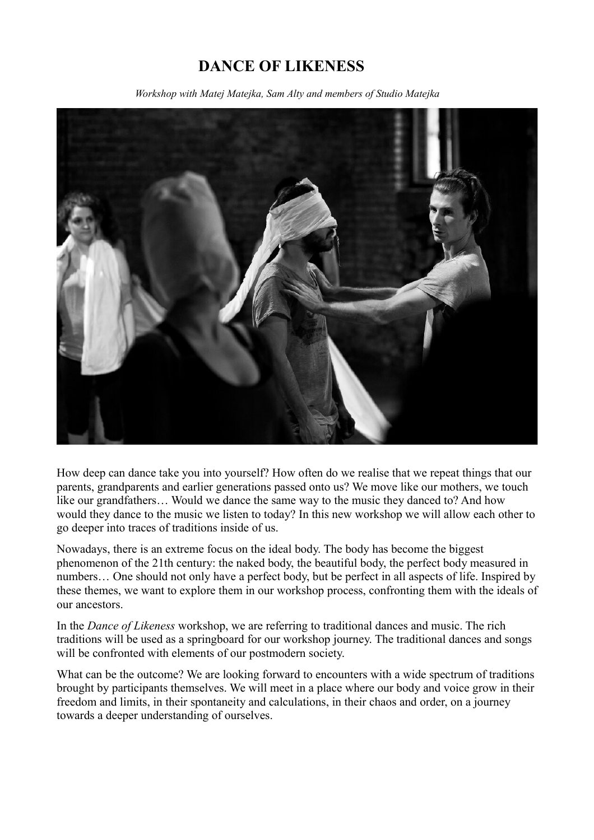## **DANCE OF LIKENESS**

 *Workshop with Matej Matejka, Sam Alty and members of Studio Matejka*



How deep can dance take you into yourself? How often do we realise that we repeat things that our parents, grandparents and earlier generations passed onto us? We move like our mothers, we touch like our grandfathers… Would we dance the same way to the music they danced to? And how would they dance to the music we listen to today? In this new workshop we will allow each other to go deeper into traces of traditions inside of us.

Nowadays, there is an extreme focus on the ideal body. The body has become the biggest phenomenon of the 21th century: the naked body, the beautiful body, the perfect body measured in numbers… One should not only have a perfect body, but be perfect in all aspects of life. Inspired by these themes, we want to explore them in our workshop process, confronting them with the ideals of our ancestors.

In the *Dance of Likeness* workshop, we are referring to traditional dances and music. The rich traditions will be used as a springboard for our workshop journey. The traditional dances and songs will be confronted with elements of our postmodern society.

What can be the outcome? We are looking forward to encounters with a wide spectrum of traditions brought by participants themselves. We will meet in a place where our body and voice grow in their freedom and limits, in their spontaneity and calculations, in their chaos and order, on a journey towards a deeper understanding of ourselves.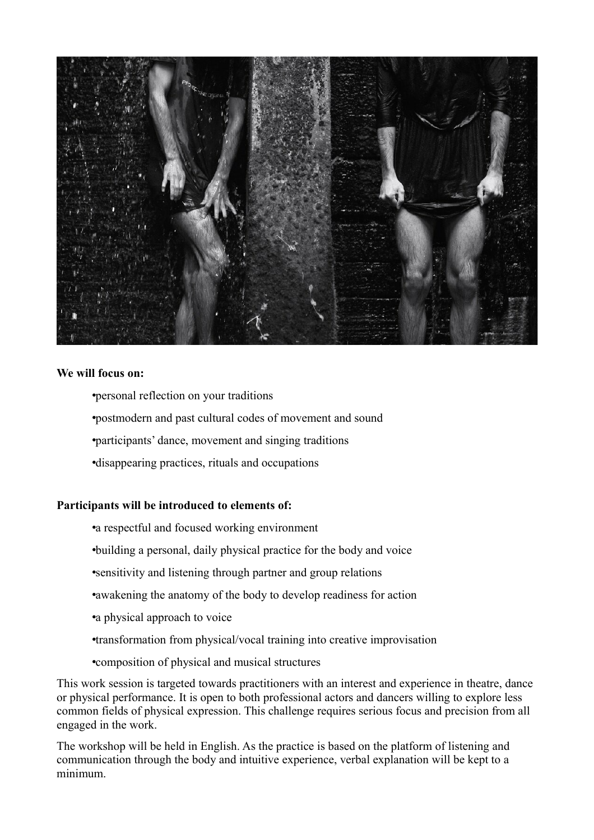

## **We will focus on:**

•personal reflection on your traditions

•postmodern and past cultural codes of movement and sound

•participants' dance, movement and singing traditions

•disappearing practices, rituals and occupations

## **Participants will be introduced to elements of:**

•a respectful and focused working environment

•building a personal, daily physical practice for the body and voice

•sensitivity and listening through partner and group relations

•awakening the anatomy of the body to develop readiness for action

•a physical approach to voice

•transformation from physical/vocal training into creative improvisation

•composition of physical and musical structures

This work session is targeted towards practitioners with an interest and experience in theatre, dance or physical performance. It is open to both professional actors and dancers willing to explore less common fields of physical expression. This challenge requires serious focus and precision from all engaged in the work.

The workshop will be held in English. As the practice is based on the platform of listening and communication through the body and intuitive experience, verbal explanation will be kept to a minimum.